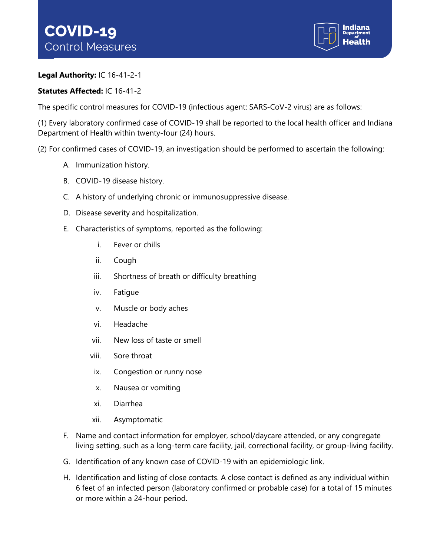

## **Legal Authority:** IC 16-41-2-1

## **Statutes Affected:** IC 16-41-2

The specific control measures for COVID-19 (infectious agent: SARS-CoV-2 virus) are as follows:

(1) Every laboratory confirmed case of COVID-19 shall be reported to the local health officer and Indiana Department of Health within twenty-four (24) hours.

(2) For confirmed cases of COVID-19, an investigation should be performed to ascertain the following:

- A. Immunization history.
- B. COVID-19 disease history.
- C. A history of underlying chronic or immunosuppressive disease.
- D. Disease severity and hospitalization.
- E. Characteristics of symptoms, reported as the following:
	- i. Fever or chills
	- ii. Cough
	- iii. Shortness of breath or difficulty breathing
	- iv. Fatigue
	- v. Muscle or body aches
	- vi. Headache
	- vii. New loss of taste or smell
	- viii. Sore throat
	- ix. Congestion or runny nose
	- x. Nausea or vomiting
	- xi. Diarrhea
	- xii. Asymptomatic
- F. Name and contact information for employer, school/daycare attended, or any congregate living setting, such as a long-term care facility, jail, correctional facility, or group-living facility.
- G. Identification of any known case of COVID-19 with an epidemiologic link.
- H. Identification and listing of close contacts. A close contact is defined as any individual within 6 feet of an infected person (laboratory confirmed or probable case) for a total of 15 minutes or more within a 24-hour period.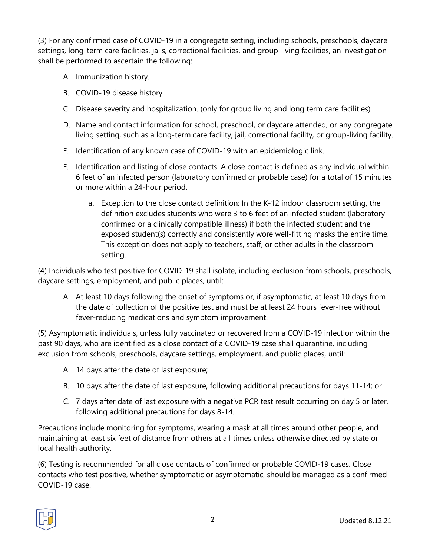(3) For any confirmed case of COVID-19 in a congregate setting, including schools, preschools, daycare settings, long-term care facilities, jails, correctional facilities, and group-living facilities, an investigation shall be performed to ascertain the following:

- A. Immunization history.
- B. COVID-19 disease history.
- C. Disease severity and hospitalization. (only for group living and long term care facilities)
- D. Name and contact information for school, preschool, or daycare attended, or any congregate living setting, such as a long-term care facility, jail, correctional facility, or group-living facility.
- E. Identification of any known case of COVID-19 with an epidemiologic link.
- F. Identification and listing of close contacts. A close contact is defined as any individual within 6 feet of an infected person (laboratory confirmed or probable case) for a total of 15 minutes or more within a 24-hour period.
	- a. Exception to the close contact definition: In the K-12 indoor classroom setting, the definition excludes students who were 3 to 6 feet of an infected student (laboratoryconfirmed or a clinically compatible illness) if both the infected student and the exposed student(s) correctly and consistently wore well-fitting masks the entire time. This exception does not apply to teachers, staff, or other adults in the classroom setting.

(4) Individuals who test positive for COVID-19 shall isolate, including exclusion from schools, preschools, daycare settings, employment, and public places, until:

A. At least 10 days following the onset of symptoms or, if asymptomatic, at least 10 days from the date of collection of the positive test and must be at least 24 hours fever-free without fever-reducing medications and symptom improvement.

(5) Asymptomatic individuals, unless fully vaccinated or recovered from a COVID-19 infection within the past 90 days, who are identified as a close contact of a COVID-19 case shall quarantine, including exclusion from schools, preschools, daycare settings, employment, and public places, until:

- A. 14 days after the date of last exposure;
- B. 10 days after the date of last exposure, following additional precautions for days 11-14; or
- C. 7 days after date of last exposure with a negative PCR test result occurring on day 5 or later, following additional precautions for days 8-14.

Precautions include monitoring for symptoms, wearing a mask at all times around other people, and maintaining at least six feet of distance from others at all times unless otherwise directed by state or local health authority.

(6) Testing is recommended for all close contacts of confirmed or probable COVID-19 cases. Close contacts who test positive, whether symptomatic or asymptomatic, should be managed as a confirmed COVID-19 case.